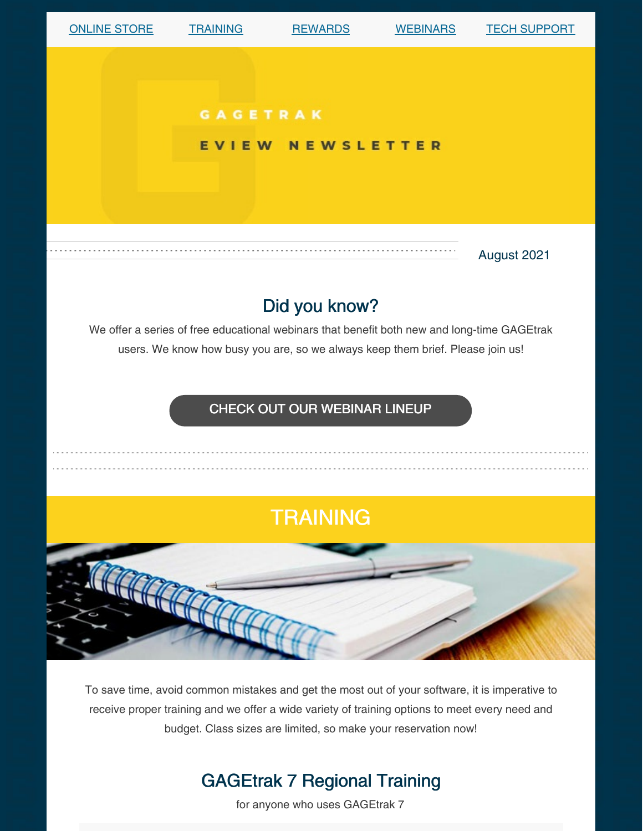

To save time, avoid common mistakes and get the most out of your software, it is imperative to receive proper training and we offer a wide variety of training options to meet every need and budget. Class sizes are limited, so make your reservation now!

## GAGEtrak 7 Regional Training

for anyone who uses GAGEtrak 7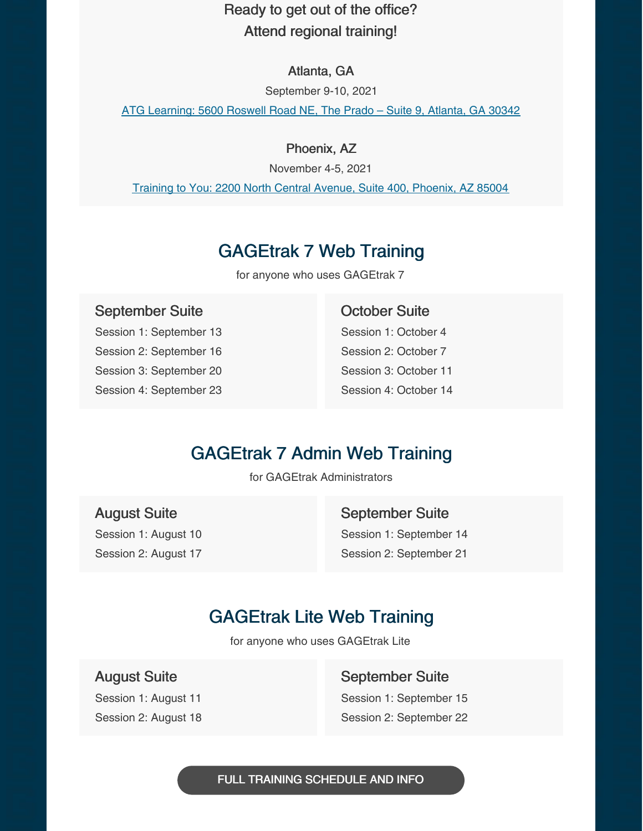### Ready to get out of the office? Attend regional training!

#### Atlanta, GA

September 9-10, 2021

ATG [Learning:](https://g.page/ATGLearning?share) 5600 Roswell Road NE, The Prado – Suite 9, Atlanta, GA 30342

#### Phoenix, AZ

November 4-5, 2021

Training to You: 2200 North Central Avenue, Suite 400, [Phoenix,](https://g.page/training-to-you?share) AZ 85004

## GAGEtrak 7 Web Training

for anyone who uses GAGEtrak 7

#### September Suite

Session 1: September 13 Session 2: September 16 Session 3: September 20 Session 4: September 23

#### October Suite

Session 1: October 4 Session 2: October 7 Session 3: October 11 Session 4: October 14

### GAGEtrak 7 Admin Web Training

for GAGEtrak Administrators

August Suite Session 1: August 10 Session 2: August 17 September Suite Session 1: September 14 Session 2: September 21

## GAGEtrak Lite Web Training

for anyone who uses GAGEtrak Lite

August Suite

Session 1: August 11 Session 2: August 18 September Suite Session 1: September 15 Session 2: September 22

FULL TRAINING [SCHEDULE](https://gagetrak.com/training-schedule/) AND INFO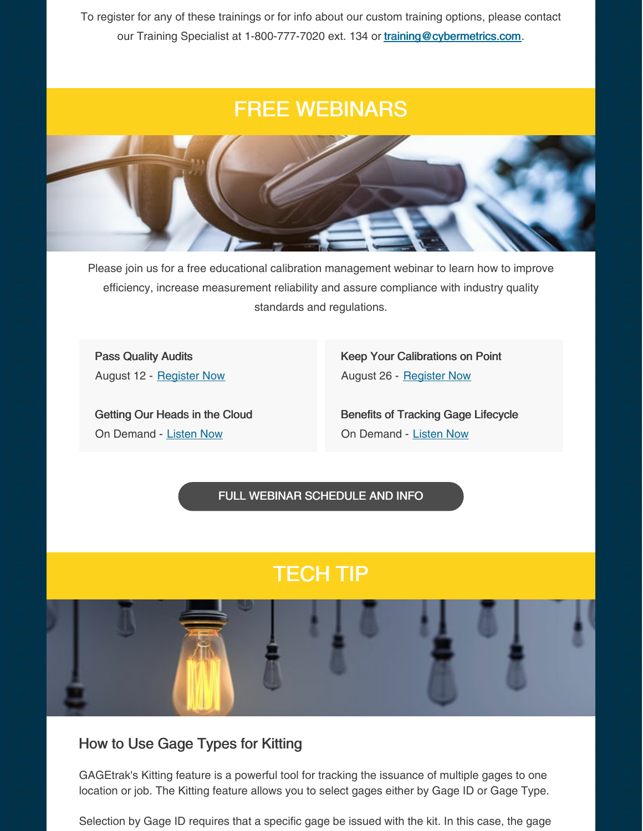To register for any of these trainings or for info about our custom training options, please contact our Training Specialist at 1-800-777-7020 ext. 134 or [training@cybermetrics.com](mailto:training@cybermetrics.com).

# FREE WEBINARS



Please join us for a free educational calibration management webinar to learn how to improve efficiency, increase measurement reliability and assure compliance with industry quality standards and regulations.

Pass Quality Audits August 12 - [Register](https://register.gotowebinar.com/register/1181109000587736590) Now

Getting Our Heads in the Cloud On Demand - [Listen](https://www.qualitymag.com/media/podcasts/2594-q-cast/play/170-globalization-forces-calibration-software-providers-to-get-their-heads-in-the-cloud) Now

Keep Your Calibrations on Point August 26 - [Register](https://attendee.gotowebinar.com/register/4273850491568204046) Now

Benefits of Tracking Gage Lifecycle On Demand - [Listen](https://www.qualitymag.com/media/podcasts/2594-q-cast/play/197-the-benefits-of-tracking-gage-lifecycle) Now

FULL WEBINAR [SCHEDULE](https://gagetrak.com/webinars/) AND INFO

# TECH TIP



#### How to Use Gage Types for Kitting

GAGEtrak's Kitting feature is a powerful tool for tracking the issuance of multiple gages to one location or job. The Kitting feature allows you to select gages either by Gage ID or Gage Type.

Selection by Gage ID requires that a specific gage be issued with the kit. In this case, the gage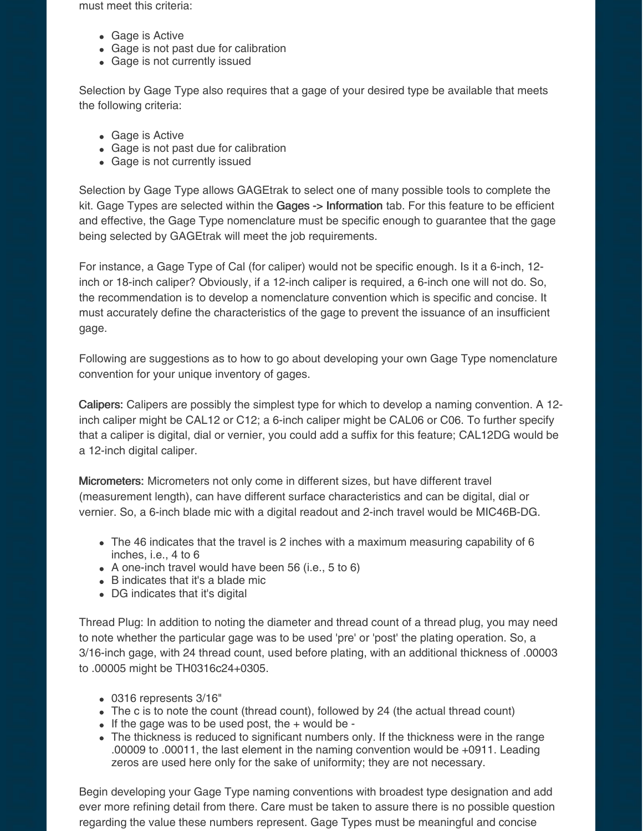must meet this criteria:

- Gage is Active
- Gage is not past due for calibration
- Gage is not currently issued

Selection by Gage Type also requires that a gage of your desired type be available that meets the following criteria:

- Gage is Active
- Gage is not past due for calibration
- Gage is not currently issued

Selection by Gage Type allows GAGEtrak to select one of many possible tools to complete the kit. Gage Types are selected within the Gages -> Information tab. For this feature to be efficient and effective, the Gage Type nomenclature must be specific enough to guarantee that the gage being selected by GAGEtrak will meet the job requirements.

For instance, a Gage Type of Cal (for caliper) would not be specific enough. Is it a 6-inch, 12 inch or 18-inch caliper? Obviously, if a 12-inch caliper is required, a 6-inch one will not do. So, the recommendation is to develop a nomenclature convention which is specific and concise. It must accurately define the characteristics of the gage to prevent the issuance of an insufficient gage.

Following are suggestions as to how to go about developing your own Gage Type nomenclature convention for your unique inventory of gages.

Calipers: Calipers are possibly the simplest type for which to develop a naming convention. A 12 inch caliper might be CAL12 or C12; a 6-inch caliper might be CAL06 or C06. To further specify that a caliper is digital, dial or vernier, you could add a suffix for this feature; CAL12DG would be a 12-inch digital caliper.

Micrometers: Micrometers not only come in different sizes, but have different travel (measurement length), can have different surface characteristics and can be digital, dial or vernier. So, a 6-inch blade mic with a digital readout and 2-inch travel would be MIC46B-DG.

- The 46 indicates that the travel is 2 inches with a maximum measuring capability of 6 inches, i.e., 4 to 6
- A one-inch travel would have been 56 (i.e., 5 to 6)
- B indicates that it's a blade mic
- DG indicates that it's digital

Thread Plug: In addition to noting the diameter and thread count of a thread plug, you may need to note whether the particular gage was to be used 'pre' or 'post' the plating operation. So, a 3/16-inch gage, with 24 thread count, used before plating, with an additional thickness of .00003 to .00005 might be TH0316c24+0305.

- 0316 represents 3/16"
- The c is to note the count (thread count), followed by 24 (the actual thread count)
- $\bullet$  If the gage was to be used post, the  $+$  would be -
- The thickness is reduced to significant numbers only. If the thickness were in the range .00009 to .00011, the last element in the naming convention would be +0911. Leading zeros are used here only for the sake of uniformity; they are not necessary.

Begin developing your Gage Type naming conventions with broadest type designation and add ever more refining detail from there. Care must be taken to assure there is no possible question regarding the value these numbers represent. Gage Types must be meaningful and concise